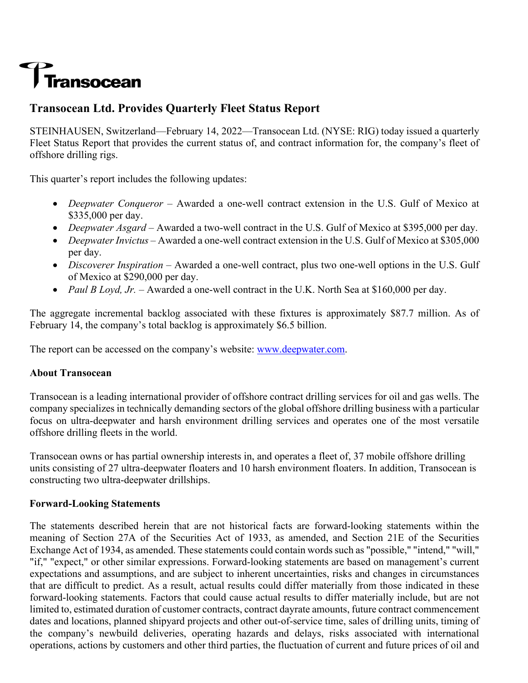

# **Transocean Ltd. Provides Quarterly Fleet Status Report**

STEINHAUSEN, Switzerland—February 14, 2022—Transocean Ltd. (NYSE: RIG) today issued a quarterly Fleet Status Report that provides the current status of, and contract information for, the company's fleet of offshore drilling rigs.

This quarter's report includes the following updates:

- *Deepwater Conqueror* Awarded a one-well contract extension in the U.S. Gulf of Mexico at \$335,000 per day.
- *Deepwater Asgard* Awarded a two-well contract in the U.S. Gulf of Mexico at \$395,000 per day.
- *Deepwater Invictus* Awarded a one-well contract extension in the U.S. Gulf of Mexico at \$305,000 per day.
- *Discoverer Inspiration* Awarded a one-well contract, plus two one-well options in the U.S. Gulf of Mexico at \$290,000 per day.
- *Paul B Loyd, Jr.* Awarded a one-well contract in the U.K. North Sea at \$160,000 per day.

The aggregate incremental backlog associated with these fixtures is approximately \$87.7 million. As of February 14, the company's total backlog is approximately \$6.5 billion.

The report can be accessed on the company's website: [www.deepwater.com.](http://www.deepwater.com/)

## **About Transocean**

Transocean is a leading international provider of offshore contract drilling services for oil and gas wells. The company specializes in technically demanding sectors of the global offshore drilling business with a particular focus on ultra-deepwater and harsh environment drilling services and operates one of the most versatile offshore drilling fleets in the world.

Transocean owns or has partial ownership interests in, and operates a fleet of, 37 mobile offshore drilling units consisting of 27 ultra-deepwater floaters and 10 harsh environment floaters. In addition, Transocean is constructing two ultra-deepwater drillships.

## **Forward-Looking Statements**

The statements described herein that are not historical facts are forward-looking statements within the meaning of Section 27A of the Securities Act of 1933, as amended, and Section 21E of the Securities Exchange Act of 1934, as amended. These statements could contain words such as "possible," "intend," "will," "if," "expect," or other similar expressions. Forward-looking statements are based on management's current expectations and assumptions, and are subject to inherent uncertainties, risks and changes in circumstances that are difficult to predict. As a result, actual results could differ materially from those indicated in these forward-looking statements. Factors that could cause actual results to differ materially include, but are not limited to, estimated duration of customer contracts, contract dayrate amounts, future contract commencement dates and locations, planned shipyard projects and other out-of-service time, sales of drilling units, timing of the company's newbuild deliveries, operating hazards and delays, risks associated with international operations, actions by customers and other third parties, the fluctuation of current and future prices of oil and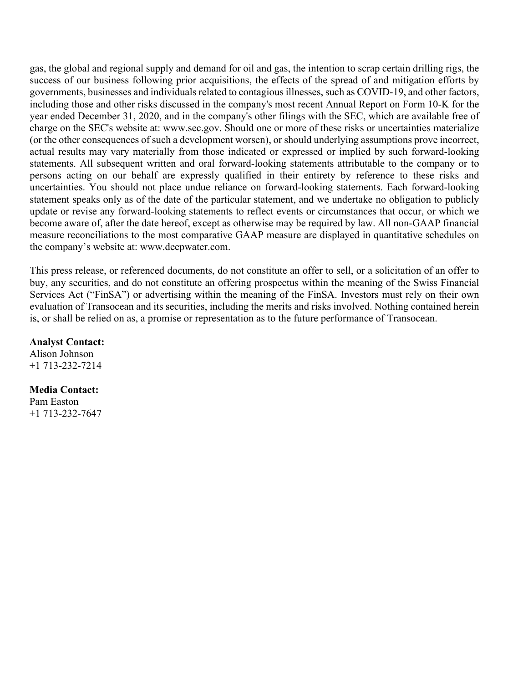gas, the global and regional supply and demand for oil and gas, the intention to scrap certain drilling rigs, the success of our business following prior acquisitions, the effects of the spread of and mitigation efforts by governments, businesses and individuals related to contagious illnesses, such as COVID-19, and other factors, including those and other risks discussed in the company's most recent Annual Report on Form 10-K for the year ended December 31, 2020, and in the company's other filings with the SEC, which are available free of charge on the SEC's website at: www.sec.gov. Should one or more of these risks or uncertainties materialize (or the other consequences of such a development worsen), or should underlying assumptions prove incorrect, actual results may vary materially from those indicated or expressed or implied by such forward-looking statements. All subsequent written and oral forward-looking statements attributable to the company or to persons acting on our behalf are expressly qualified in their entirety by reference to these risks and uncertainties. You should not place undue reliance on forward-looking statements. Each forward-looking statement speaks only as of the date of the particular statement, and we undertake no obligation to publicly update or revise any forward-looking statements to reflect events or circumstances that occur, or which we become aware of, after the date hereof, except as otherwise may be required by law. All non-GAAP financial measure reconciliations to the most comparative GAAP measure are displayed in quantitative schedules on the company's website at: [www.deepwater.com.](http://www.deepwater.com/)

This press release, or referenced documents, do not constitute an offer to sell, or a solicitation of an offer to buy, any securities, and do not constitute an offering prospectus within the meaning of the Swiss Financial Services Act ("FinSA") or advertising within the meaning of the FinSA. Investors must rely on their own evaluation of Transocean and its securities, including the merits and risks involved. Nothing contained herein is, or shall be relied on as, a promise or representation as to the future performance of Transocean.

## **Analyst Contact:**

Alison Johnson +1 713-232-7214

#### **Media Contact:**  Pam Easton

+1 713-232-7647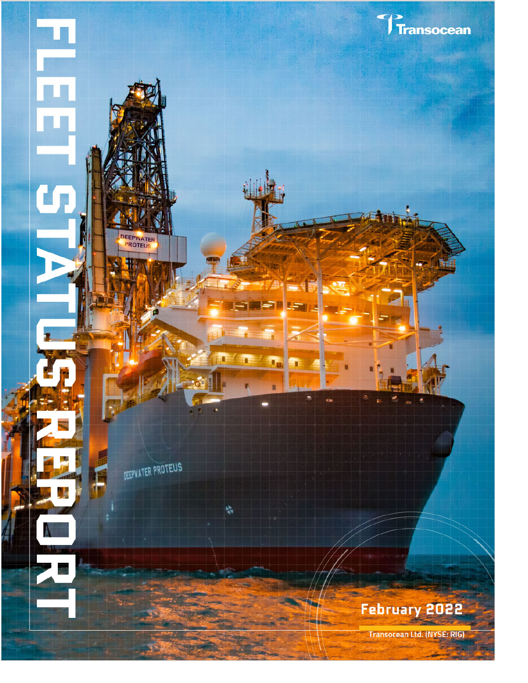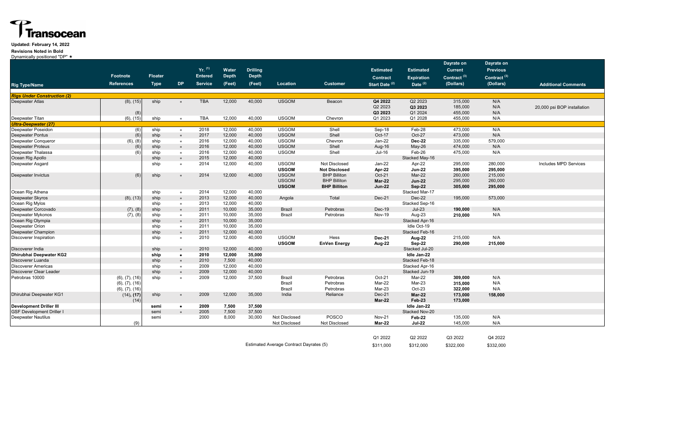#### **Revisions Noted in Bold** $n \sim n$

|                                    | Footnote               | <b>Floater</b> |           | $Yr.$ (1)<br><b>Entered</b> | Water<br><b>Depth</b> | <b>Drilling</b><br><b>Depth</b> |               |                      | <b>Estimated</b><br><b>Contract</b> | <b>Estimated</b><br><b>Expiration</b> | Dayrate on<br><b>Current</b><br>Contract <sup>(3)</sup> | Dayrate on<br><b>Previous</b><br>Contract <sup>(3)</sup> |                             |
|------------------------------------|------------------------|----------------|-----------|-----------------------------|-----------------------|---------------------------------|---------------|----------------------|-------------------------------------|---------------------------------------|---------------------------------------------------------|----------------------------------------------------------|-----------------------------|
| <b>Rig Type/Name</b>               | <b>References</b>      | <b>Type</b>    | DP        | <b>Service</b>              | (Feet)                | (Feet)                          | Location      | <b>Customer</b>      | Start Date <sup>(2)</sup>           | Date $(2)$                            | (Dollars)                                               | (Dollars)                                                | <b>Additional Comments</b>  |
| <b>Rias Under Construction (2)</b> |                        |                |           |                             |                       |                                 |               |                      |                                     |                                       |                                                         |                                                          |                             |
| Deepwater Atlas                    | $(8)$ , $(15)$         | ship           | $*$       | <b>TBA</b>                  | 12,000                | 40,000                          | <b>USGOM</b>  | Beacon               | Q4 2022                             | Q2 2023                               | 315,000                                                 | N/A                                                      |                             |
|                                    |                        |                |           |                             |                       |                                 |               |                      | Q2 2023                             | Q3 2023                               | 185,000                                                 | N/A                                                      | 20,000 psi BOP installation |
|                                    | (8)                    |                |           |                             |                       |                                 |               |                      | Q3 2023                             | Q1 2024                               | 455,000                                                 | N/A                                                      |                             |
| Deepwater Titan                    | $(6)$ , $(15)$         | ship           | $\ast$    | <b>TBA</b>                  | 12,000                | 40,000                          | <b>USGOM</b>  | Chevron              | Q1 2023                             | Q1 2028                               | 455,000                                                 | N/A                                                      |                             |
| <b>Ultra-Deepwater (27)</b>        |                        |                |           |                             |                       |                                 |               |                      |                                     |                                       |                                                         |                                                          |                             |
| Deepwater Poseidon                 | (6)                    | ship           | $*$       | 2018                        | 12,000                | 40,000                          | <b>USGOM</b>  | Shell                | Sep-18                              | Feb-28                                | 473,000                                                 | N/A                                                      |                             |
| Deepwater Pontus                   | (6)                    | ship           | $*$       | 2017                        | 12,000                | 40,000                          | <b>USGOM</b>  | Shell                | Oct-17                              | Oct-27                                | 473,000                                                 | N/A                                                      |                             |
| Deepwater Conqueror                | (6), (8)               | ship           | $\ast$    | 2016                        | 12,000                | 40,000                          | <b>USGOM</b>  | Chevron              | Jan-22                              | <b>Dec-22</b>                         | 335,000                                                 | 579,000                                                  |                             |
| Deepwater Proteus                  | (6)                    | ship           | $*$       | 2016                        | 12,000                | 40,000                          | <b>USGOM</b>  | Shell                | Aug-16                              | May-26                                | 474,000                                                 | N/A                                                      |                             |
| Deepwater Thalassa                 |                        | ship           | $*$       | 2016                        | 12,000                | 40,000                          | <b>USGOM</b>  | Shell                | Jul-16                              | Feb-26                                | 475,000                                                 | N/A                                                      |                             |
| Ocean Rig Apollo                   |                        | ship           | $\ast$    | 2015                        | 12,000                | 40,000                          |               |                      |                                     | Stacked May-16                        |                                                         |                                                          |                             |
| Deepwater Asgard                   |                        | ship           | $*$       | 2014                        | 12,000                | 40,000                          | <b>USGOM</b>  | <b>Not Disclosed</b> | $Jan-22$                            | Apr-22                                | 295,000                                                 | 280,000                                                  | Includes MPD Services       |
|                                    |                        |                |           |                             |                       |                                 | <b>USGOM</b>  | <b>Not Disclosed</b> | Apr-22                              | <b>Jun-22</b>                         | 395,000                                                 | 295,000                                                  |                             |
| Deepwater Invictus                 | (6)                    | ship           | $\ast$    | 2014                        | 12,000                | 40,000                          | <b>USGOM</b>  | <b>BHP Billiton</b>  | Oct-21                              | Mar-22                                | 260,000                                                 | 215,000                                                  |                             |
|                                    |                        |                |           |                             |                       |                                 | <b>USGOM</b>  | <b>BHP Billiton</b>  | Mar-22                              | <b>Jun-22</b>                         | 295,000                                                 | 260,000                                                  |                             |
|                                    |                        |                |           |                             |                       |                                 | <b>USGOM</b>  | <b>BHP Billiton</b>  | $Jun-22$                            | <b>Sep-22</b>                         | 305,000                                                 | 295,000                                                  |                             |
| Ocean Rig Athena                   |                        | ship           | $\ast$    | 2014                        | 12,000                | 40,000                          |               |                      |                                     | Stacked Mar-17                        |                                                         |                                                          |                             |
| Deepwater Skyros                   | (8), (13)              | ship           | $*$       | 2013                        | 12,000                | 40,000                          | Angola        | Total                | $Dec-21$                            | <b>Dec-22</b>                         | 195,000                                                 | 573,000                                                  |                             |
| Ocean Rig Mylos                    |                        | ship           | $\ast$    | 2013                        | 12,000                | 40,000                          |               |                      |                                     | Stacked Sep-16                        |                                                         |                                                          |                             |
| Deepwater Corcovado                | (7), (8)               | ship           | $*$       | 2011                        | 10,000                | 35,000                          | <b>Brazil</b> | Petrobras            | Dec-19                              | $Jul-23$                              | 190.000                                                 | N/A                                                      |                             |
| Deepwater Mykonos                  | (7), (8)               | ship           | $\ast$    | 2011                        | 10,000                | 35,000                          | <b>Brazil</b> | Petrobras            | <b>Nov-19</b>                       | Aug-23                                | 210,000                                                 | N/A                                                      |                             |
| Ocean Rig Olympia                  |                        | ship           | $*$       | 2011                        | 10,000                | 35,000                          |               |                      |                                     | Stacked Apr-16                        |                                                         |                                                          |                             |
| Deepwater Orion                    |                        | ship           | $*$       | 2011                        | 10,000                | 35,000                          |               |                      |                                     | Idle Oct-19                           |                                                         |                                                          |                             |
| Deepwater Champion                 |                        | ship           | $\ast$    | 2011                        | 12,000                | 40,000                          |               |                      |                                     | Stacked Feb-16                        |                                                         |                                                          |                             |
| Discoverer Inspiration             |                        | ship           | $\ast$    | 2010                        | 12,000                | 40,000                          | <b>USGOM</b>  | Hess                 | <b>Dec-21</b>                       | Aug-22                                | 215,000                                                 | N/A                                                      |                             |
|                                    |                        |                |           |                             |                       |                                 | <b>USGOM</b>  | <b>EnVen Energy</b>  | Aug-22                              | Sep-22                                | 290,000                                                 | 215,000                                                  |                             |
| Discoverer India                   |                        | ship           | $\ast$    | 2010                        | 12,000                | 40,000                          |               |                      |                                     | Stacked Jul-20                        |                                                         |                                                          |                             |
| Dhirubhai Deepwater KG2            |                        | ship           | $\bullet$ | 2010                        | 12,000                | 35.000                          |               |                      |                                     | Idle Jan-22                           |                                                         |                                                          |                             |
| Discoverer Luanda                  |                        | ship           | $\ast$    | 2010                        | 7,500                 | 40,000                          |               |                      |                                     | Stacked Feb-18                        |                                                         |                                                          |                             |
| <b>Discoverer Americas</b>         |                        | ship           | $\ast$    | 2009                        | 12,000                | 40,000                          |               |                      |                                     | Stacked Apr-16                        |                                                         |                                                          |                             |
| Discoverer Clear Leader            |                        | ship           | $*$       | 2009                        | 12,000                | 40,000                          |               |                      |                                     | Stacked Jun-19                        |                                                         |                                                          |                             |
| Petrobras 10000                    | $(6)$ , $(7)$ , $(16)$ | ship           | $\ast$    | 2009                        | 12,000                | 37,500                          | Brazil        | Petrobras            | $Oct-21$                            | Mar-22                                | 309,000                                                 | N/A                                                      |                             |
|                                    | (6), (7), (16)         |                |           |                             |                       |                                 | Brazil        | Petrobras            | Mar-22                              | Mar-23                                | 315,000                                                 | N/A                                                      |                             |
|                                    | (6), (7), (16)         |                |           |                             |                       |                                 | <b>Brazil</b> | Petrobras            | Mar-23                              | $Oct-23$                              | 322,000                                                 | N/A                                                      |                             |
| Dhirubhai Deepwater KG1            | $(14)$ , $(17)$        | ship           | $*$       | 2009                        | 12,000                | 35,000                          | India         | Reliance             | Dec-21                              | <b>Mar-22</b>                         | 173,000                                                 | 158,000                                                  |                             |
|                                    | (14)                   |                |           |                             |                       |                                 |               |                      | Mar-22                              | Feb-23                                | 173,000                                                 |                                                          |                             |
| <b>Development Driller III</b>     |                        | semi           | $\bullet$ | 2009                        | 7,500                 | 37,500                          |               |                      |                                     | Idle Jan-22                           |                                                         |                                                          |                             |
| <b>GSF Development Driller</b>     |                        | semi           | $\ast$    | 2005                        | 7,500                 | 37,500                          |               |                      |                                     | Stacked Nov-20                        |                                                         |                                                          |                             |
| Deepwater Nautilus                 |                        | semi           |           | 2000                        | 8,000                 | 30,000                          | Not Disclosed | <b>POSCO</b>         | <b>Nov-21</b>                       | Feb-22                                | 135,000                                                 | N/A                                                      |                             |
|                                    | (9)                    |                |           |                             |                       |                                 | Not Disclosed | <b>Not Disclosed</b> | Mar-22                              | <b>Jul-22</b>                         | 145.000                                                 | N/A                                                      |                             |

Q1 2022 Q2 2022 Q3 2022

Q4 2022

| Estimated Average Contract Dayrates (5) | \$311.000 | \$312,000 | \$322,000 | \$332,000 |
|-----------------------------------------|-----------|-----------|-----------|-----------|
|                                         |           |           |           |           |

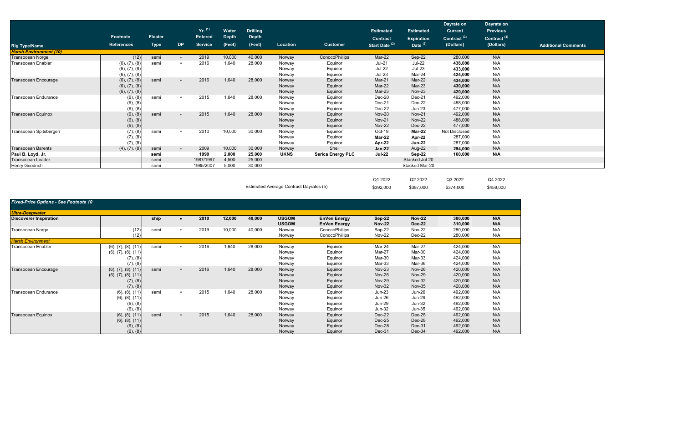|                               |                       |                |           | $Yr.$ (1)      | Water        | <b>Drilling</b>                         |             |                          | <b>Estimated</b>          | <b>Estimated</b>  | Dayrate on<br><b>Current</b> | Dayrate on<br><b>Previous</b> |                            |
|-------------------------------|-----------------------|----------------|-----------|----------------|--------------|-----------------------------------------|-------------|--------------------------|---------------------------|-------------------|------------------------------|-------------------------------|----------------------------|
|                               | Footnote              | <b>Floater</b> |           | <b>Entered</b> | <b>Depth</b> | <b>Depth</b>                            |             |                          | <b>Contract</b>           | <b>Expiration</b> | Contract <sup>(3)</sup>      | Contract <sup>(3)</sup>       |                            |
| <b>Rig Type/Name</b>          | <b>References</b>     | <b>Type</b>    | <b>DP</b> | <b>Service</b> | (Feet)       | (Feet)                                  | Location    | <b>Customer</b>          | Start Date <sup>(2)</sup> | Date $(2)$        | (Dollars)                    | (Dollars)                     | <b>Additional Comments</b> |
| <b>Harsh Environment (10)</b> |                       |                |           |                |              |                                         |             |                          |                           |                   |                              |                               |                            |
| Transocean Norge              | (12)                  | semi           | $\ast$    | 2019           | 10,000       | 40,000                                  | Norway      | ConocoPhillips           | $Mar-22$                  | Sep-22            | 280,000                      | N/A                           |                            |
| <b>Transocean Enabler</b>     | (6), (7), (8)         | semi           | $\star$   | 2016           | 1,640        | 28,000                                  | Norway      | Equinor                  | <b>Jul-21</b>             | <b>Jul-22</b>     | 438,000                      | N/A                           |                            |
|                               | (6), (7), (8)         |                |           |                |              |                                         | Norway      | Equinor                  | Jul-22                    | $Jul-23$          | 433,000                      | N/A                           |                            |
|                               | (6), (7), (8)         |                |           |                |              |                                         | Norway      | Equinor                  | <b>Jul-23</b>             | Mar-24            | 424,000                      | N/A                           |                            |
| <b>Transocean Encourage</b>   | $(6)$ , $(7)$ , $(8)$ | semi           | $\ast$    | 2016           | 1,640        | 28,000                                  | Norway      | Equinor                  | Mar-21                    | $Mar-22$          | 434,000                      | N/A                           |                            |
|                               | $(6)$ , $(7)$ , $(8)$ |                |           |                |              |                                         | Norway      | Equinor                  | Mar-22                    | $Mar-23$          | 430,000                      | N/A                           |                            |
|                               | (6), (7), (8)         |                |           |                |              |                                         | Norway      | Equinor                  | $Mar-23$                  | $Nov-23$          | 420,000                      | N/A                           |                            |
| Transocean Endurance          | (6), (8)              | semi           | $\ast$    | 2015           | 1,640        | 28,000                                  | Norway      | Equinor                  | Dec-20                    | Dec-21            | 492,000                      | N/A                           |                            |
|                               | (6), (8)              |                |           |                |              |                                         | Norway      | Equinor                  | Dec-21                    | Dec-22            | 488,000                      | N/A                           |                            |
|                               | $(6)$ , $(8)$         |                |           |                |              |                                         | Norway      | Equinor                  | Dec-22                    | $Jun-23$          | 477,000                      | N/A                           |                            |
| <b>Transocean Equinox</b>     | (6), (8)              | semi           | $\ast$    | 2015           | 1,640        | 28,000                                  | Norway      | Equinor                  | <b>Nov-20</b>             | <b>Nov-21</b>     | 492,000                      | N/A                           |                            |
|                               | (6), (8)              |                |           |                |              |                                         | Norway      | Equinor                  | <b>Nov-21</b>             | <b>Nov-22</b>     | 488,000                      | N/A                           |                            |
|                               | (6), (8)              |                |           |                |              |                                         | Norway      | Equinor                  | <b>Nov-22</b>             | Dec-22            | 477,000                      | N/A                           |                            |
| Transocean Spitsbergen        | (7), (8)              | semi           | $\ast$    | 2010           | 10,000       | 30,000                                  | Norway      | Equinor                  | Oct-19                    | Mar-22            | Not Disclosed                | N/A                           |                            |
|                               | (7), (8)              |                |           |                |              |                                         | Norway      | Equinor                  | Mar-22                    | Apr-22            | 287,000                      | N/A                           |                            |
|                               | (7), (8)              |                |           |                |              |                                         | Norway      | Equinor                  | Apr-22                    | <b>Jun-22</b>     | 287,000                      | N/A                           |                            |
| <b>Transocean Barents</b>     | (4), (7), (8)         | semi           | $\ast$    | 2009           | 10,000       | 30,000                                  | Norway      | Shell                    | $Jan-22$                  | Aug-22            | 294,000                      | N/A                           |                            |
| Paul B. Loyd, Jr.             |                       | semi           |           | 1990           | 2,000        | 25,000                                  | <b>UKNS</b> | <b>Serica Energy PLC</b> | <b>Jul-22</b>             | Sep-22            | 160,000                      | N/A                           |                            |
| <b>Transocean Leader</b>      |                       | semi           |           | 1987/1997      | 4,500        | 25,000                                  |             |                          |                           | Stacked Jul-20    |                              |                               |                            |
| <b>Henry Goodrich</b>         |                       | semi           |           | 1985/2007      | 5,000        | 30,000                                  |             |                          |                           | Stacked Mar-20    |                              |                               |                            |
|                               |                       |                |           |                |              |                                         |             |                          |                           |                   |                              |                               |                            |
|                               |                       |                |           |                |              |                                         |             |                          | Q1 2022                   | Q2 2022           | Q3 2022                      | Q4 2022                       |                            |
|                               |                       |                |           |                |              | Estimated Average Contract Dayrates (5) |             |                          | \$392,000                 | \$387,000         | \$374,000                    | \$459,000                     |                            |

| <b>Fixed-Price Options - See Footnote 10</b> |                                                                                          |      |        |      |        |        |                                      |                                            |                                                        |                                                                  |                                          |                          |
|----------------------------------------------|------------------------------------------------------------------------------------------|------|--------|------|--------|--------|--------------------------------------|--------------------------------------------|--------------------------------------------------------|------------------------------------------------------------------|------------------------------------------|--------------------------|
| <b>Ultra-Deepwater</b>                       |                                                                                          |      |        |      |        |        |                                      |                                            |                                                        |                                                                  |                                          |                          |
| <b>Discoverer Inspiration</b>                |                                                                                          | ship |        | 2010 | 12,000 | 40,000 | <b>USGOM</b><br><b>USGOM</b>         | <b>EnVen Energy</b><br><b>EnVen Energy</b> | $Sep-22$<br><b>Nov-22</b>                              | <b>Nov-22</b><br><b>Dec-22</b>                                   | 300,000<br>310,000                       | N/A<br>N/A               |
| <b>Transocean Norge</b>                      | (12)<br>(12)                                                                             | semi | *      | 2019 | 10,000 | 40,000 | Norway<br>Norway                     | ConocoPhillips<br><b>ConocoPhillips</b>    | Sep-22<br><b>Nov-22</b>                                | <b>Nov-22</b><br>Dec-22                                          | 280,000<br>280,000                       | N/A<br>N/A               |
| <b>Harsh Environment</b>                     |                                                                                          |      |        |      |        |        |                                      |                                            |                                                        |                                                                  |                                          |                          |
| <b>Transocean Enabler</b>                    | $(6)$ , $(7)$ , $(8)$ , $(11)$<br>(6), (7), (8), (11)<br>(7), (8)<br>(7), (8)            | semi |        | 2016 | 1,640  | 28,000 | Norway<br>Norway<br>Norway<br>Norway | Equinor<br>Equinor<br>Equinor<br>Equinor   | Mar-24<br>Mar-27<br>Mar-30<br>Mar-33                   | Mar-27<br>Mar-30<br>Mar-33<br>Mar-36                             | 424,000<br>424,000<br>424,000<br>424,000 | N/A<br>N/A<br>N/A<br>N/A |
| <b>Transocean Encourage</b>                  | $(6)$ , $(7)$ , $(8)$ , $(11)$<br>$(6)$ , $(7)$ , $(8)$ , $(11)$<br>(7), (8)<br>(7), (8) | semi |        | 2016 | 1,640  | 28,000 | Norway<br>Norway<br>Norway<br>Norway | Equinor<br>Equinor<br>Equinor<br>Equinor   | $Nov-23$<br>$Nov-26$<br><b>Nov-29</b><br><b>Nov-32</b> | <b>Nov-26</b><br><b>Nov-29</b><br><b>Nov-32</b><br><b>Nov-35</b> | 420,000<br>420,000<br>420,000<br>420,000 | N/A<br>N/A<br>N/A<br>N/A |
| Transocean Endurance                         | $(6)$ , $(8)$ , $(11)$<br>$(6)$ , $(8)$ , $(11)$<br>$(6)$ , $(8)$<br>(6), (8)            | semi | *      | 2015 | 1,640  | 28,000 | Norway<br>Norway<br>Norway<br>Norway | Equinor<br>Equinor<br>Equinor<br>Equinor   | $Jun-23$<br><b>Jun-26</b><br><b>Jun-29</b><br>Jun-32   | $Jun-26$<br>Jun-29<br>Jun-32<br>$Jun-35$                         | 492,000<br>492,000<br>492,000<br>492,000 | N/A<br>N/A<br>N/A<br>N/A |
| <b>Transocean Equinox</b>                    | $(6)$ , $(8)$ , $(11)$<br>$(6)$ , $(8)$ , $(11)$<br>$(6)$ , $(8)$<br>(6), (8)            | semi | $\ast$ | 2015 | 1,640  | 28,000 | Norway<br>Norway<br>Norway<br>Norway | Equinor<br>Equinor<br>Equinor<br>Equinor   | Dec-22<br>$Dec-25$<br>Dec-28<br>Dec-31                 | Dec-25<br>Dec-28<br>Dec-31<br>$Dec-34$                           | 492,000<br>492,000<br>492,000<br>492,000 | N/A<br>N/A<br>N/A<br>N/A |

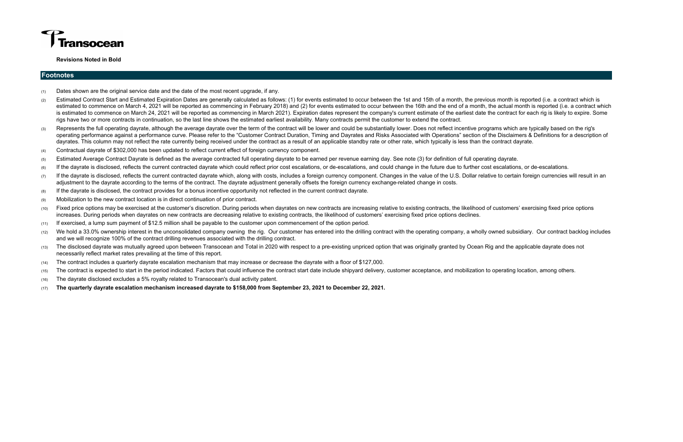

**Revisions Noted in Bold**

- (1)Dates shown are the original service date and the date of the most recent upgrade, if any.
- (2) Estimated Contract Start and Estimated Expiration Dates are generally calculated as follows: (1) for events estimated to occur between the 1st and 15th of a month, the previous month is reported (i.e. a contract which isestimated to commence on March 4, 2021 will be reported as commencing in February 2018) and (2) for events estimated to occur between the 16th and the end of a month, the actual month is reported (i.e. a contract which is estimated to commence on March 24, 2021 will be reported as commencing in March 2021). Expiration dates represent the company's current estimate of the earliest date the contract for each rig is likely to expire. Some rigs have two or more contracts in continuation, so the last line shows the estimated earliest availability. Many contracts permit the customer to extend the contract.
- (3)Represents the full operating dayrate, although the average dayrate over the term of the contract will be lower and could be substantially lower. Does not reflect incentive programs which are typically based on the rig's operating performance against a performance curve. Please refer to the "Customer Contract Duration, Timing and Dayrates and Risks Associated with Operations" section of the Disclaimers & Definitions for a description ofdayrates. This column may not reflect the rate currently being received under the contract as a result of an applicable standby rate or other rate, which typically is less than the contract dayrate.
- (4)Contractual dayrate of \$302,000 has been updated to reflect current effect of foreign currency component.
- (5)Estimated Average Contract Dayrate is defined as the average contracted full operating dayrate to be earned per revenue earning day. See note (3) for definition of full operating dayrate.
- (6)If the dayrate is disclosed, reflects the current contracted dayrate which could reflect prior cost escalations, or de-escalations, and could change in the future due to further cost escalations, or de-escalations.
- (7)If the dayrate is disclosed, reflects the current contracted dayrate which, along with costs, includes a foreign currency component. Changes in the value of the U.S. Dollar relative to certain foreign currencies will resul adjustment to the dayrate according to the terms of the contract. The dayrate adjustment generally offsets the foreign currency exchange-related change in costs.
- (8)If the dayrate is disclosed, the contract provides for a bonus incentive opportunity not reflected in the current contract dayrate.
- (9)Mobilization to the new contract location is in direct continuation of prior contract.
- (10)Fixed price options may be exercised at the customer's discretion. During periods when dayrates on new contracts are increasing relative to existing contracts, the likelihood of customers' exercising fixed price options increases. During periods when dayrates on new contracts are decreasing relative to existing contracts, the likelihood of customers' exercising fixed price options declines.
- (11)If exercised, a lump sum payment of \$12.5 million shall be payable to the customer upon commencement of the option period.
- (12)We hold a 33.0% ownership interest in the unconsolidated company owning the rig. Our customer has entered into the drilling contract with the operating company, a wholly owned subsidiary. Our contract backlog includes and we will recognize 100% of the contract drilling revenues associated with the drilling contract.
- (13)The disclosed dayrate was mutually agreed upon between Transocean and Total in 2020 with respect to a pre-existing unpriced option that was originally granted by Ocean Rig and the applicable dayrate does not necessarily reflect market rates prevailing at the time of this report.
- (14)The contract includes a quarterly dayrate escalation mechanism that may increase or decrease the dayrate with a floor of \$127,000.
- (15)The contract is expected to start in the period indicated. Factors that could influence the contract start date include shipyard delivery, customer acceptance, and mobilization to operating location, among others.
- (16)The dayrate disclosed excludes a 5% royalty related to Transocean's dual activity patent.
- (17)**The quarterly dayrate escalation mechanism increased dayrate to \$158,000 from September 23, 2021 to December 22, 2021.**

#### **Footnotes**